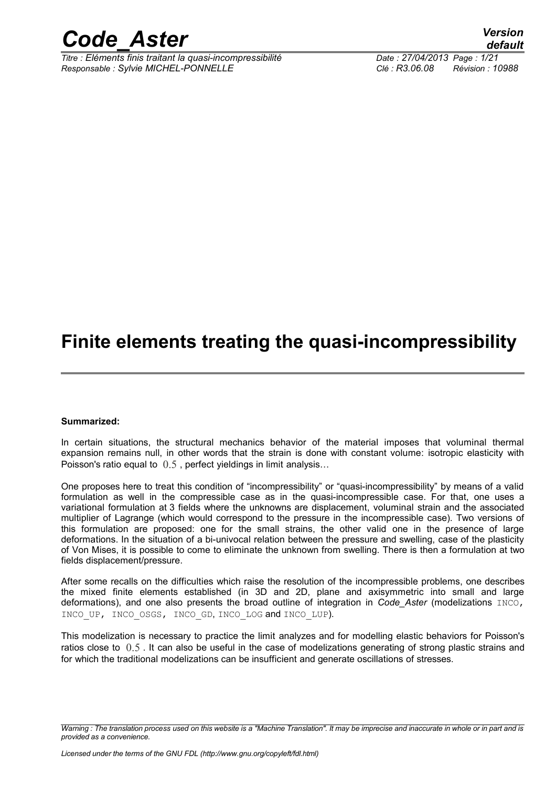

*Titre : Eléments finis traitant la quasi-incompressibilité Date : 27/04/2013 Page : 1/21 Responsable : Sylvie MICHEL-PONNELLE Clé : R3.06.08 Révision : 10988*

*default*

## **Finite elements treating the quasi-incompressibility**

#### **Summarized:**

In certain situations, the structural mechanics behavior of the material imposes that voluminal thermal expansion remains null, in other words that the strain is done with constant volume: isotropic elasticity with Poisson's ratio equal to  $0.5$  , perfect yieldings in limit analysis...

One proposes here to treat this condition of "incompressibility" or "quasi-incompressibility" by means of a valid formulation as well in the compressible case as in the quasi-incompressible case. For that, one uses a variational formulation at 3 fields where the unknowns are displacement, voluminal strain and the associated multiplier of Lagrange (which would correspond to the pressure in the incompressible case). Two versions of this formulation are proposed: one for the small strains, the other valid one in the presence of large deformations. In the situation of a bi-univocal relation between the pressure and swelling, case of the plasticity of Von Mises, it is possible to come to eliminate the unknown from swelling. There is then a formulation at two fields displacement/pressure.

After some recalls on the difficulties which raise the resolution of the incompressible problems, one describes the mixed finite elements established (in 3D and 2D, plane and axisymmetric into small and large deformations), and one also presents the broad outline of integration in *Code\_Aster* (modelizations INCO, INCO UP, INCO OSGS, INCO GD, INCO LOG and INCO LUP).

This modelization is necessary to practice the limit analyzes and for modelling elastic behaviors for Poisson's ratios close to 0.5 . It can also be useful in the case of modelizations generating of strong plastic strains and for which the traditional modelizations can be insufficient and generate oscillations of stresses.

*Warning : The translation process used on this website is a "Machine Translation". It may be imprecise and inaccurate in whole or in part and is provided as a convenience.*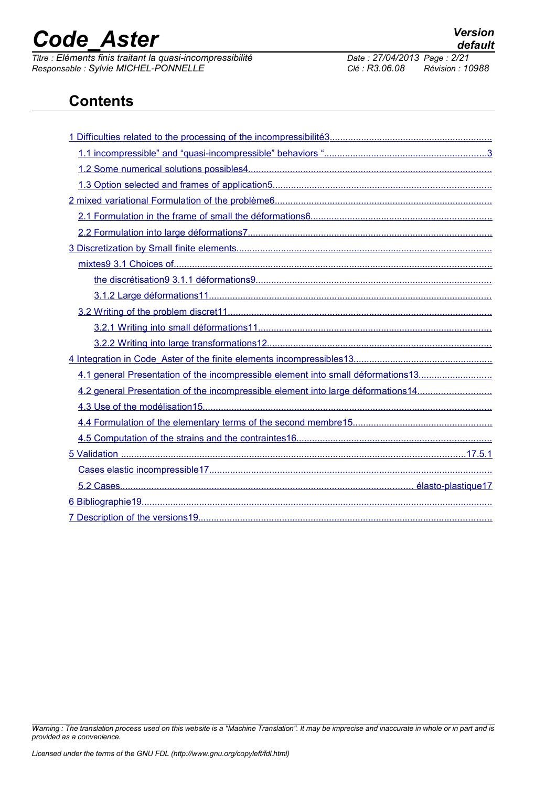*Titre : Eléments finis traitant la quasi-incompressibilité Date : 27/04/2013 Page : 2/21 Responsable : Sylvie MICHEL-PONNELLE Clé : R3.06.08 Révision : 10988*

### **Contents**

| 4.1 general Presentation of the incompressible element into small déformations13 |
|----------------------------------------------------------------------------------|
| 4.2 general Presentation of the incompressible element into large déformations14 |
|                                                                                  |
|                                                                                  |
|                                                                                  |
|                                                                                  |
|                                                                                  |
|                                                                                  |
|                                                                                  |
|                                                                                  |

*Warning : The translation process used on this website is a "Machine Translation". It may be imprecise and inaccurate in whole or in part and is provided as a convenience.*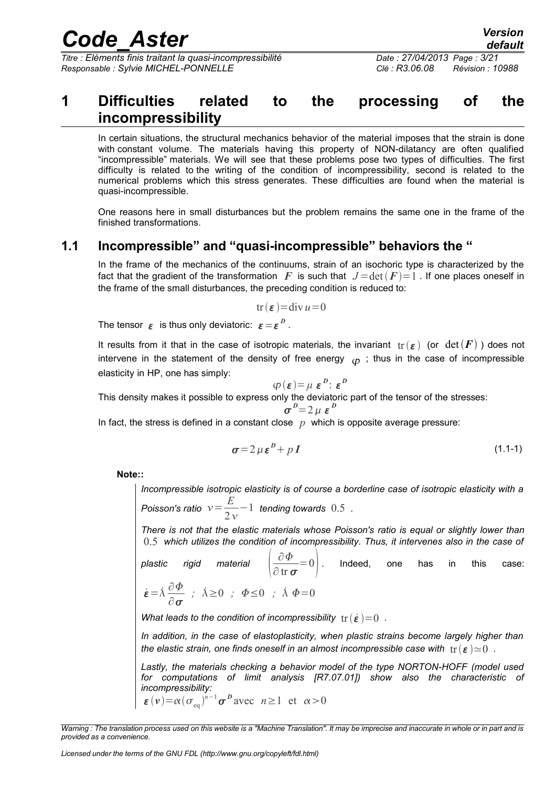*Titre : Eléments finis traitant la quasi-incompressibilité Date : 27/04/2013 Page : 3/21 Responsable : Sylvie MICHEL-PONNELLE Clé : R3.06.08 Révision : 10988*

### <span id="page-2-0"></span>**1 Difficulties related to the processing of the incompressibility**

In certain situations, the structural mechanics behavior of the material imposes that the strain is done with constant volume. The materials having this property of NON-dilatancy are often qualified "incompressible" materials. We will see that these problems pose two types of difficulties. The first difficulty is related to the writing of the condition of incompressibility, second is related to the numerical problems which this stress generates. These difficulties are found when the material is quasi-incompressible.

One reasons here in small disturbances but the problem remains the same one in the frame of the finished transformations.

### **1.1 Incompressible" and "quasi-incompressible" behaviors the "**

<span id="page-2-1"></span>In the frame of the mechanics of the continuums, strain of an isochoric type is characterized by the fact that the gradient of the transformation *F* is such that  $J = det(F) = 1$ . If one places oneself in the frame of the small disturbances, the preceding condition is reduced to:

$$
tr(\boldsymbol{\varepsilon}) = div \, u = 0
$$

The tensor  $\epsilon$  is thus only deviatoric:  $\epsilon = \epsilon^{\,D}$  .

It results from it that in the case of isotropic materials, the invariant  $tr(\varepsilon)$  (or  $det(F)$ ) does not intervene in the statement of the density of free energy  $_{(D)}$ ; thus in the case of incompressible elasticity in HP, one has simply:

$$
\varphi(\boldsymbol{\varepsilon}) = \mu \boldsymbol{\varepsilon}^{\boldsymbol{D}} \colon \boldsymbol{\varepsilon}^{\boldsymbol{D}}
$$

This density makes it possible to express only the deviatoric part of the tensor of the stresses:

<span id="page-2-2"></span>
$$
\sigma^{\,D}\!=\!2\,\mu\,\varepsilon^{\,D}
$$

In fact, the stress is defined in a constant close  $p$  which is opposite average pressure:

$$
\sigma = 2 \mu \varepsilon^D + p \, I \tag{1.1-1}
$$

**Note::** 

*Incompressible isotropic elasticity is of course a borderline case of isotropic elasticity with a Poisson's ratio*  $v = \frac{E}{2}$  $2v$ −1 *tending towards* 0.5 *.* 

*There is not that the elastic materials whose Poisson's ratio is equal or slightly lower than* 0.5 *which utilizes the condition of incompressibility. Thus, it intervenes also in the case of*

*plastic rigid material*   $\partial \Phi$  $\left(\frac{\partial \Psi}{\partial \ln \sigma}\right)$ . Indeed, one has in this case:  $\dot{\varepsilon} = \dot{\lambda} \frac{\partial \Phi}{\partial \varepsilon}$ *;*  $\dot{\lambda} \ge 0$  *;*  $\Phi \le 0$  *;*  $\dot{\lambda} \Phi = 0$ 

*What leads to the condition of incompressibility*  $tr(\dot{\varepsilon}) = 0$ .

*In addition, in the case of elastoplasticity, when plastic strains become largely higher than the elastic strain, one finds oneself in an almost incompressible case with*  $tr(\varepsilon) \simeq 0$ .

*Lastly, the materials checking a behavior model of the type NORTON-HOFF (model used for computations of limit analysis [R7.07.01]) show also the characteristic of incompressibility:*  $\epsilon(\nu) = \alpha (\sigma_{eq})^{n-1} \sigma^D$  avec  $n \ge 1$  et  $\alpha > 0$ 

 $\partial$   $\sigma$ 

*Warning : The translation process used on this website is a "Machine Translation". It may be imprecise and inaccurate in whole or in part and is provided as a convenience.*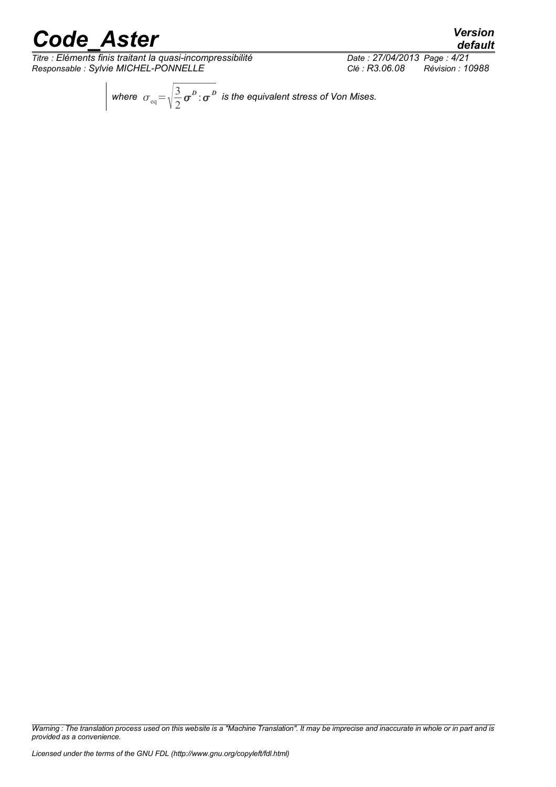*Titre : Eléments finis traitant la quasi-incompressibilité Date : 27/04/2013 Page : 4/21 Responsable : Sylvie MICHEL-PONNELLE Clé : R3.06.08 Révision : 10988*

*default*

where  $\sigma_{\text{eq}} = \sqrt{\frac{3}{2}}$ 2  $\sigma^{\scriptscriptstyle D}$  *c*  $\sigma^{\scriptscriptstyle D}$  is the equivalent stress of Von Mises.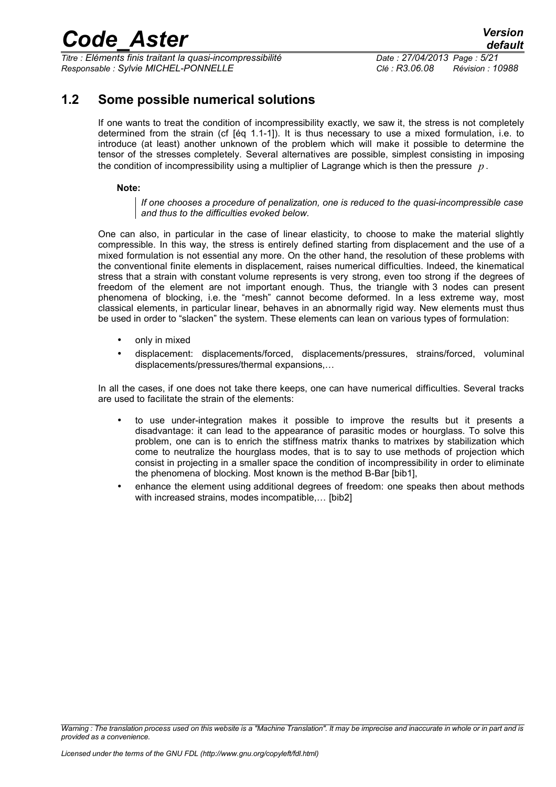*Titre : Eléments finis traitant la quasi-incompressibilité Date : 27/04/2013 Page : 5/21 Responsable : Sylvie MICHEL-PONNELLE Clé : R3.06.08 Révision : 10988*

### **1.2 Some possible numerical solutions**

<span id="page-4-0"></span>If one wants to treat the condition of incompressibility exactly, we saw it, the stress is not completely determined from the strain (cf [éq [1.1-1\]](#page-2-2)). It is thus necessary to use a mixed formulation, i.e. to introduce (at least) another unknown of the problem which will make it possible to determine the tensor of the stresses completely. Several alternatives are possible, simplest consisting in imposing the condition of incompressibility using a multiplier of Lagrange which is then the pressure *p* .

#### **Note:**

*If one chooses a procedure of penalization, one is reduced to the quasi-incompressible case and thus to the difficulties evoked below.* 

One can also, in particular in the case of linear elasticity, to choose to make the material slightly compressible. In this way, the stress is entirely defined starting from displacement and the use of a mixed formulation is not essential any more. On the other hand, the resolution of these problems with the conventional finite elements in displacement, raises numerical difficulties. Indeed, the kinematical stress that a strain with constant volume represents is very strong, even too strong if the degrees of freedom of the element are not important enough. Thus, the triangle with 3 nodes can present phenomena of blocking, i.e. the "mesh" cannot become deformed. In a less extreme way, most classical elements, in particular linear, behaves in an abnormally rigid way. New elements must thus be used in order to "slacken" the system. These elements can lean on various types of formulation:

- only in mixed
- displacement: displacements/forced, displacements/pressures, strains/forced, voluminal displacements/pressures/thermal expansions,…

In all the cases, if one does not take there keeps, one can have numerical difficulties. Several tracks are used to facilitate the strain of the elements:

- to use under-integration makes it possible to improve the results but it presents a disadvantage: it can lead to the appearance of parasitic modes or hourglass. To solve this problem, one can is to enrich the stiffness matrix thanks to matrixes by stabilization which come to neutralize the hourglass modes, that is to say to use methods of projection which consist in projecting in a smaller space the condition of incompressibility in order to eliminate the phenomena of blocking. Most known is the method B-Bar [bib1],
- enhance the element using additional degrees of freedom: one speaks then about methods with increased strains, modes incompatible..., [bib2]

*Warning : The translation process used on this website is a "Machine Translation". It may be imprecise and inaccurate in whole or in part and is provided as a convenience.*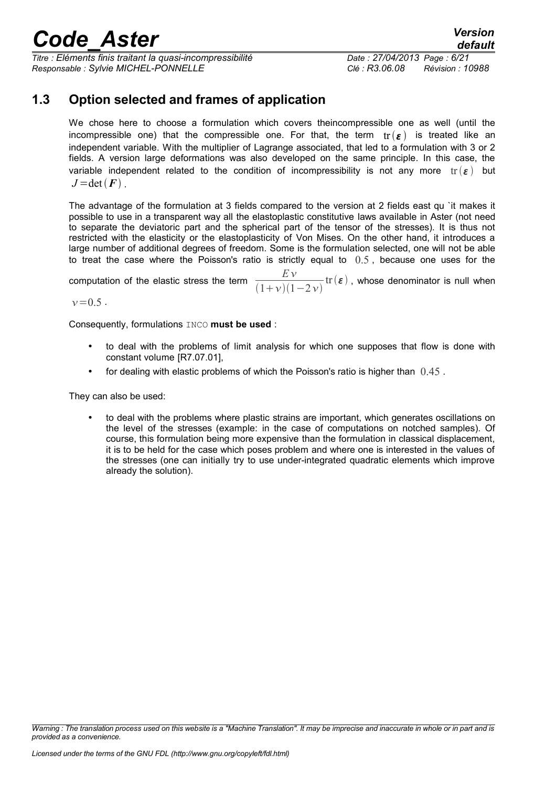*Titre : Eléments finis traitant la quasi-incompressibilité Date : 27/04/2013 Page : 6/21 Responsable : Sylvie MICHEL-PONNELLE Clé : R3.06.08 Révision : 10988*

*default*

### **1.3 Option selected and frames of application**

<span id="page-5-0"></span>We chose here to choose a formulation which covers theincompressible one as well (until the incompressible one) that the compressible one. For that, the term  $tr(\varepsilon)$  is treated like an independent variable. With the multiplier of Lagrange associated, that led to a formulation with 3 or 2 fields. A version large deformations was also developed on the same principle. In this case, the variable independent related to the condition of incompressibility is not any more  $tr(\varepsilon)$  but  $J = det(F)$ .

The advantage of the formulation at 3 fields compared to the version at 2 fields east qu `it makes it possible to use in a transparent way all the elastoplastic constitutive laws available in Aster (not need to separate the deviatoric part and the spherical part of the tensor of the stresses). It is thus not restricted with the elasticity or the elastoplasticity of Von Mises. On the other hand, it introduces a large number of additional degrees of freedom. Some is the formulation selected, one will not be able to treat the case where the Poisson's ratio is strictly equal to  $0.5$ , because one uses for the

computation of the elastic stress the term  $\frac{EV}{(1+e^{-\lambda})^2}$  $(1+\nu)(1-2\nu)$  $\mathrm{tr}\left(\boldsymbol{\varepsilon}\right)$  , whose denominator is null when

 $v=0.5$ .

Consequently, formulations INCO **must be used** :

- to deal with the problems of limit analysis for which one supposes that flow is done with constant volume [R7.07.01],
- for dealing with elastic problems of which the Poisson's ratio is higher than  $0.45$ .

They can also be used:

• to deal with the problems where plastic strains are important, which generates oscillations on the level of the stresses (example: in the case of computations on notched samples). Of course, this formulation being more expensive than the formulation in classical displacement, it is to be held for the case which poses problem and where one is interested in the values of the stresses (one can initially try to use under-integrated quadratic elements which improve already the solution).

*Warning : The translation process used on this website is a "Machine Translation". It may be imprecise and inaccurate in whole or in part and is provided as a convenience.*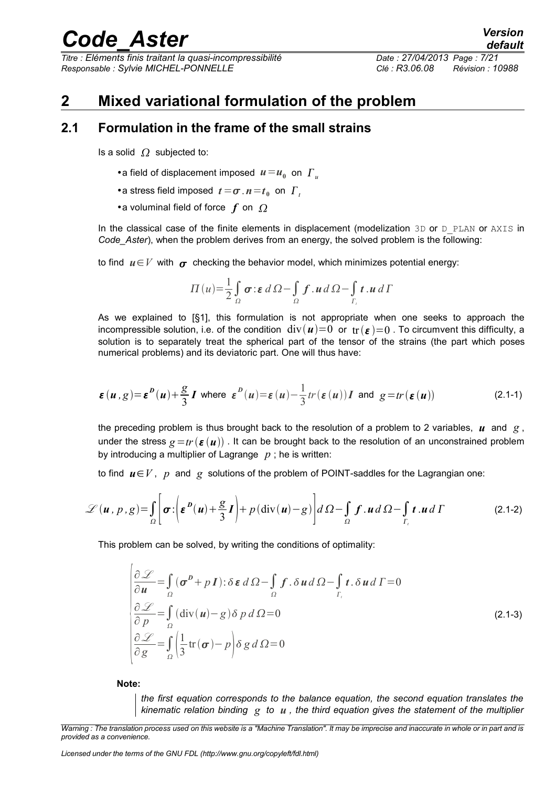*Titre : Eléments finis traitant la quasi-incompressibilité Date : 27/04/2013 Page : 7/21 Responsable : Sylvie MICHEL-PONNELLE Clé : R3.06.08 Révision : 10988*

### <span id="page-6-1"></span>**2 Mixed variational formulation of the problem**

#### **2.1 Formulation in the frame of the small strains**

<span id="page-6-0"></span>Is a solid  $\Omega$  subjected to:

- •a field of displacement imposed  $u = u_0$  on  $\Gamma_u$
- •a stress field imposed  $t = \sigma$ .  $n = t_0$  on  $\Gamma_t$
- •a voluminal field of force  $f$  on  $\Omega$

In the classical case of the finite elements in displacement (modelization  $3D$  or  $D$  PLAN or AXIS in *Code\_Aster*), when the problem derives from an energy, the solved problem is the following:

to find  $u \in V$  with  $\sigma$  checking the behavior model, which minimizes potential energy:

$$
\Pi(u) = \frac{1}{2} \int_{\Omega} \sigma : \varepsilon \, d \Omega - \int_{\Omega} f \cdot u \, d \Omega - \int_{\Gamma_{\varepsilon}} t \cdot u \, d \Gamma
$$

As we explained to [§1], this formulation is not appropriate when one seeks to approach the incompressible solution, i.e. of the condition  $div(u)=0$  or  $tr(\varepsilon)=0$ . To circumvent this difficulty, a solution is to separately treat the spherical part of the tensor of the strains (the part which poses numerical problems) and its deviatoric part. One will thus have:

$$
\varepsilon(u,g) = \varepsilon^{D}(u) + \frac{g}{3}I \text{ where } \varepsilon^{D}(u) = \varepsilon(u) - \frac{1}{3}tr(\varepsilon(u))I \text{ and } g = tr(\varepsilon(u))
$$
\n(2.1-1)

the preceding problem is thus brought back to the resolution of a problem to 2 variables,  $\boldsymbol{u}$  and  $\boldsymbol{g}$ , under the stress  $g=tr ( \epsilon (u))$ . It can be brought back to the resolution of an unconstrained problem by introducing a multiplier of Lagrange *p* ; he is written:

to find  $u \in V$ , *p* and *g* solutions of the problem of POINT-saddles for the Lagrangian one:

$$
\mathcal{L}(\boldsymbol{u}, p, g) = \int_{\Omega} \left[ \boldsymbol{\sigma} : \left( \boldsymbol{\varepsilon}^{\boldsymbol{D}}(\boldsymbol{u}) + \frac{g}{3} \boldsymbol{I} \right) + p \left( \mathrm{div}(\boldsymbol{u}) - g \right) \right] d \Omega - \int_{\Omega} \boldsymbol{f} \cdot \boldsymbol{u} d \Omega - \int_{\Gamma_{i}} \boldsymbol{t} \cdot \boldsymbol{u} d \Gamma
$$
 (2.1-2)

This problem can be solved, by writing the conditions of optimality:

$$
\frac{\partial \mathcal{L}}{\partial u} = \int_{\Omega} (\sigma^D + pI) : \delta \varepsilon \, d\Omega - \int_{\Omega} f \cdot \delta u \, d\Omega - \int_{\Gamma_t} t \cdot \delta u \, d\Gamma = 0
$$
\n
$$
\frac{\partial \mathcal{L}}{\partial p} = \int_{\Omega} (\text{div}(u) - g) \delta p \, d\Omega = 0
$$
\n
$$
\frac{\partial \mathcal{L}}{\partial g} = \int_{\Omega} \left( \frac{1}{3} \text{tr}(\sigma) - p \right) \delta g \, d\Omega = 0
$$
\n(2.1-3)

**Note:**

<span id="page-6-2"></span>*the first equation corresponds to the balance equation, the second equation translates the kinematic relation binding g to u , the third equation gives the statement of the multiplier*

*Licensed under the terms of the GNU FDL (http://www.gnu.org/copyleft/fdl.html)*

*Warning : The translation process used on this website is a "Machine Translation". It may be imprecise and inaccurate in whole or in part and is provided as a convenience.*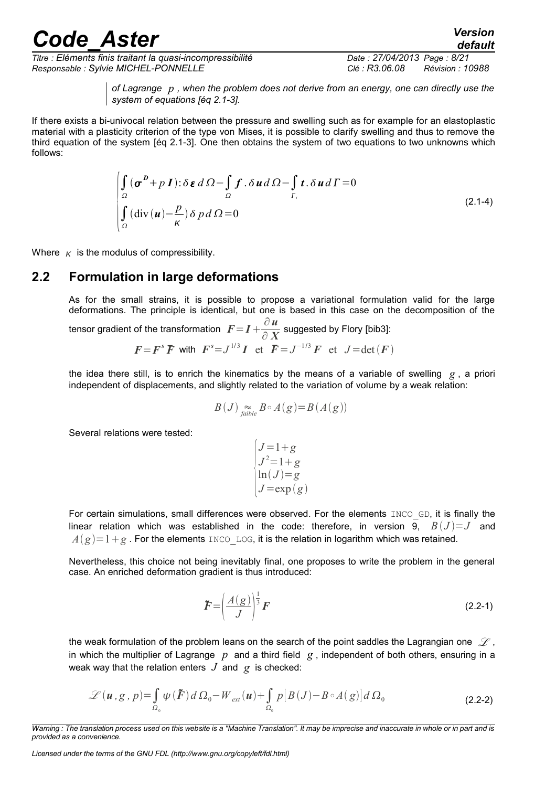*Titre : Eléments finis traitant la quasi-incompressibilité Date : 27/04/2013 Page : 8/21 Responsable : Sylvie MICHEL-PONNELLE Clé : R3.06.08 Révision : 10988*

*default*

*of Lagrange p , when the problem does not derive from an energy, one can directly use the system of equations [éq [2.1-3\]](#page-6-2).*

If there exists a bi-univocal relation between the pressure and swelling such as for example for an elastoplastic material with a plasticity criterion of the type von Mises, it is possible to clarify swelling and thus to remove the third equation of the system [éq [2.1-3\]](#page-6-2). One then obtains the system of two equations to two unknowns which follows:

$$
\int_{\Omega} (\sigma^p + pI) : \delta \varepsilon \, d\Omega - \int_{\Omega} f \cdot \delta u \, d\Omega - \int_{\Gamma_i} t \cdot \delta u \, d\Gamma = 0
$$
\n
$$
\int_{\Omega} (\text{div}(\mathbf{u}) - \frac{p}{\kappa}) \delta \, p \, d\Omega = 0
$$
\n(2.1-4)

Where  $K$  is the modulus of compressibility.

#### **2.2 Formulation in large deformations**

<span id="page-7-0"></span>As for the small strains, it is possible to propose a variational formulation valid for the large deformations. The principle is identical, but one is based in this case on the decomposition of the

fensor gradient of the transformation  $\mathbf{F} = \mathbf{I} + \frac{\partial \mathbf{u}}{\partial \mathbf{v}}$  $\frac{\partial}{\partial} \frac{x}{X}$  suggested by Flory [bib3]:

$$
F = Fs \overline{F} \text{ with } Fs = J1/3 I \text{ et } \overline{F} = J-1/3 F \text{ et } J = \det(F)
$$

the idea there still, is to enrich the kinematics by the means of a variable of swelling *g* , a priori independent of displacements, and slightly related to the variation of volume by a weak relation:

$$
B(J) \underset{\text{faible}}{\approx} B \circ A(g) = B(A(g))
$$

Several relations were tested:

$$
\begin{cases}\nJ=1+g \\
J^2=1+g \\
\ln(J)=g \\
J=\exp(g)\n\end{cases}
$$

For certain simulations, small differences were observed. For the elements INCO GD, it is finally the linear relation which was established in the code: therefore, in version 9,  $B(J)=J$  and  $A(g)=1+g$ . For the elements INCO LOG, it is the relation in logarithm which was retained.

Nevertheless, this choice not being inevitably final, one proposes to write the problem in the general case. An enriched deformation gradient is thus introduced:

$$
\tilde{F} = \left(\frac{A(g)}{J}\right)^{\frac{1}{3}} F \tag{2.2-1}
$$

the weak formulation of the problem leans on the search of the point saddles the Lagrangian one  $\mathscr L$ , in which the multiplier of Lagrange *p* and a third field *g* , independent of both others, ensuring in a weak way that the relation enters  $J$  and  $g$  is checked:

$$
\mathscr{L}(\boldsymbol{u}, g, p) = \int_{\Omega_0} \psi(\boldsymbol{\tilde{F}}) d\Omega_0 - W_{ext}(\boldsymbol{u}) + \int_{\Omega_0} p[B(J) - B \circ A(g)] d\Omega_0
$$
\n(2.2-2)

*Licensed under the terms of the GNU FDL (http://www.gnu.org/copyleft/fdl.html)*

*Warning : The translation process used on this website is a "Machine Translation". It may be imprecise and inaccurate in whole or in part and is provided as a convenience.*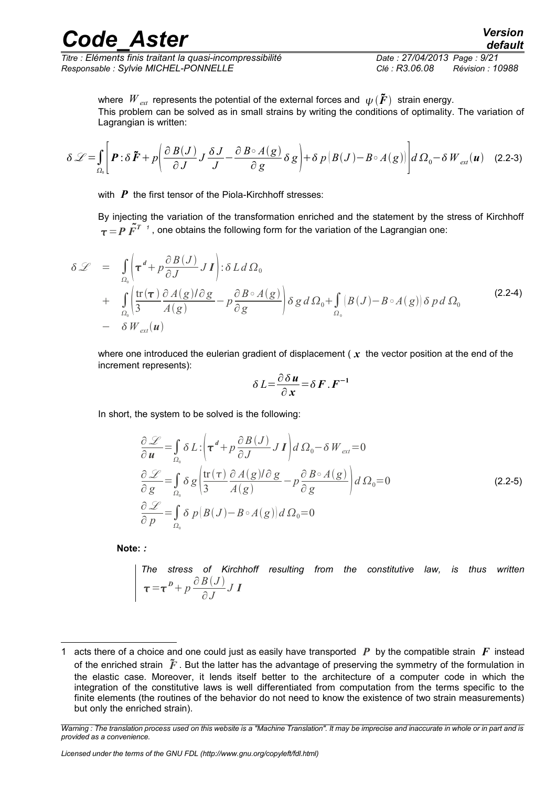*Titre : Eléments finis traitant la quasi-incompressibilité Date : 27/04/2013 Page : 9/21 Responsable : Sylvie MICHEL-PONNELLE Clé : R3.06.08 Révision : 10988*

where  $W_{ext}$  represents the potential of the external forces and  $\psi(\tilde{F})$  strain energy. This problem can be solved as in small strains by writing the conditions of optimality. The variation of Lagrangian is written:

$$
\delta \mathcal{L} = \int_{\Omega_0} \left[ \boldsymbol{P} : \delta \, \boldsymbol{\tilde{F}} + p \left( \frac{\partial \, B(J)}{\partial \, J} \right) \frac{\delta \, J}{J} - \frac{\partial \, B \circ A(g)}{\partial \, g} \delta \, g \right) + \delta \, p \left( B(J) - B \circ A(g) \right) \, d \, \Omega_0 - \delta \, W_{ext}(\boldsymbol{u}) \tag{2.2-3}
$$

with **P** the first tensor of the Piola-Kirchhoff stresses:

By injecting the variation of the transformation enriched and the statement by the stress of Kirchhoff  $\tau\!=\!P\,\tilde{F}^{T-t}$  , one obtains the following form for the variation of the Lagrangian one:

$$
\delta \mathcal{L} = \int_{\Omega_0} \left( \tau^d + p \frac{\partial B(J)}{\partial J} J I \right) : \delta L d \Omega_0
$$
  
+ 
$$
\int_{\Omega_0} \left( \frac{\text{tr}(\tau)}{3} \frac{\partial A(g) / \partial g}{\partial (g)} - p \frac{\partial B \circ A(g)}{\partial g} \right) \delta g d \Omega_0 + \int_{\Omega_0} |B(J) - B \circ A(g)| \delta p d \Omega_0
$$
 (2.2-4)  
- 
$$
\delta W_{ext}(\boldsymbol{u})
$$

where one introduced the eulerian gradient of displacement ( *x* the vector position at the end of the increment represents):

$$
\delta L = \frac{\partial \delta u}{\partial x} = \delta F . F^{-1}
$$

In short, the system to be solved is the following:

$$
\frac{\partial \mathcal{L}}{\partial u} = \int_{\Omega_0} \delta L \left[ \tau^d + p \frac{\partial B(J)}{\partial J} J I \right] d \Omega_0 - \delta W_{ext} = 0
$$
\n
$$
\frac{\partial \mathcal{L}}{\partial g} = \int_{\Omega_0} \delta g \left( \frac{\text{tr}(\tau)}{3} \frac{\partial A(g) / \partial g}{A(g)} - p \frac{\partial B \circ A(g)}{\partial g} \right) d \Omega_0 = 0
$$
\n
$$
\frac{\partial \mathcal{L}}{\partial p} = \int_{\Omega_0} \delta p |B(J) - B \circ A(g)| d \Omega_0 = 0
$$
\n(2.2-5)

**Note:** *:*

*The stress of Kirchhoff resulting from the constitutive law, is thus written*  $\tau = \tau^b + p \frac{\partial B(J)}{\partial I}$ ∂ *J J I*

*Licensed under the terms of the GNU FDL (http://www.gnu.org/copyleft/fdl.html)*

<span id="page-8-0"></span><sup>1</sup> acts there of a choice and one could just as easily have transported *P* by the compatible strain *F* instead of the enriched strain  $\tilde{F}$ . But the latter has the advantage of preserving the symmetry of the formulation in the elastic case. Moreover, it lends itself better to the architecture of a computer code in which the integration of the constitutive laws is well differentiated from computation from the terms specific to the finite elements (the routines of the behavior do not need to know the existence of two strain measurements) but only the enriched strain).

*Warning : The translation process used on this website is a "Machine Translation". It may be imprecise and inaccurate in whole or in part and is provided as a convenience.*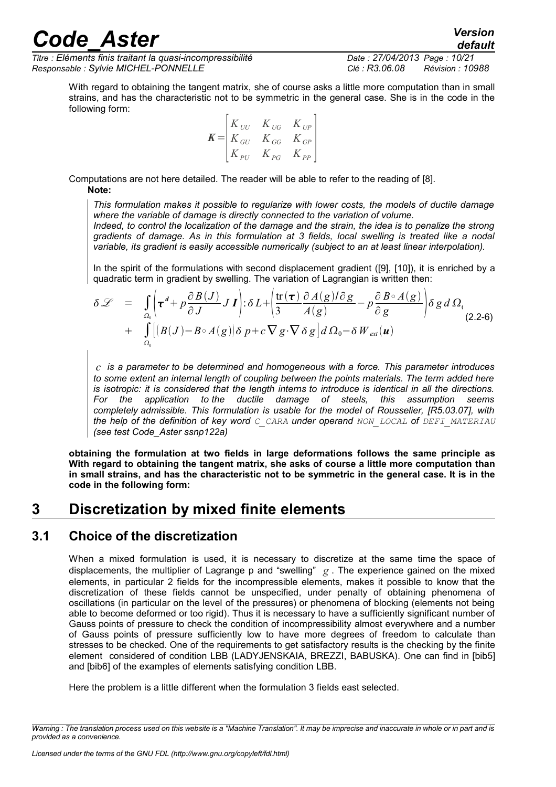*Titre : Eléments finis traitant la quasi-incompressibilité Date : 27/04/2013 Page : 10/21 Responsable : Sylvie MICHEL-PONNELLE Clé : R3.06.08 Révision : 10988*

*default*

With regard to obtaining the tangent matrix, she of course asks a little more computation than in small strains, and has the characteristic not to be symmetric in the general case. She is in the code in the following form:

$$
K = \begin{bmatrix} K_{UU} & K_{UG} & K_{UP} \\ K_{GU} & K_{GG} & K_{GP} \\ K_{PU} & K_{PG} & K_{PP} \end{bmatrix}
$$

Computations are not here detailed. The reader will be able to refer to the reading of [8]. **Note:**

*This formulation makes it possible to regularize with lower costs, the models of ductile damage where the variable of damage is directly connected to the variation of volume.* 

*Indeed, to control the localization of the damage and the strain, the idea is to penalize the strong gradients of damage. As in this formulation at 3 fields, local swelling is treated like a nodal variable, its gradient is easily accessible numerically (subject to an at least linear interpolation).* 

In the spirit of the formulations with second displacement gradient ([9], [10]), it is enriched by a quadratic term in gradient by swelling. The variation of Lagrangian is written then:

$$
\delta \mathcal{L} = \int_{\Omega_0} \left( \tau^d + p \frac{\partial B(J)}{\partial J} J I \right) : \delta L + \left( \frac{\text{tr}(\tau)}{3} \frac{\partial A(g) / \partial g}{A(g)} - p \frac{\partial B \circ A(g)}{\partial g} \right) \delta g d \Omega_{(2.2-6)}
$$
  
+ 
$$
\int_{\Omega_0} \left[ |B(J) - B \circ A(g)| \delta p + c \nabla g \cdot \nabla \delta g \right] d \Omega_0 - \delta W_{ext}(\boldsymbol{u})
$$

*c is a parameter to be determined and homogeneous with a force. This parameter introduces to some extent an internal length of coupling between the points materials. The term added here is isotropic: it is considered that the length interns to introduce is identical in all the directions. For the application to the ductile damage of steels, this assumption seems completely admissible. This formulation is usable for the model of Rousselier, [R5.03.07], with the help of the definition of key word C\_CARA under operand NON\_LOCAL of DEFI\_MATERIAU (see test Code\_Aster ssnp122a)*

**obtaining the formulation at two fields in large deformations follows the same principle as With regard to obtaining the tangent matrix, she asks of course a little more computation than in small strains, and has the characteristic not to be symmetric in the general case. It is in the code in the following form:**

### <span id="page-9-1"></span>**3 Discretization by mixed finite elements**

#### **3.1 Choice of the discretization**

<span id="page-9-0"></span>When a mixed formulation is used, it is necessary to discretize at the same time the space of displacements, the multiplier of Lagrange p and "swelling" *g* . The experience gained on the mixed elements, in particular 2 fields for the incompressible elements, makes it possible to know that the discretization of these fields cannot be unspecified, under penalty of obtaining phenomena of oscillations (in particular on the level of the pressures) or phenomena of blocking (elements not being able to become deformed or too rigid). Thus it is necessary to have a sufficiently significant number of Gauss points of pressure to check the condition of incompressibility almost everywhere and a number of Gauss points of pressure sufficiently low to have more degrees of freedom to calculate than stresses to be checked. One of the requirements to get satisfactory results is the checking by the finite element considered of condition LBB (LADYJENSKAIA, BREZZI, BABUSKA). One can find in [bib5] and [bib6] of the examples of elements satisfying condition LBB.

Here the problem is a little different when the formulation 3 fields east selected.

*Warning : The translation process used on this website is a "Machine Translation". It may be imprecise and inaccurate in whole or in part and is provided as a convenience.*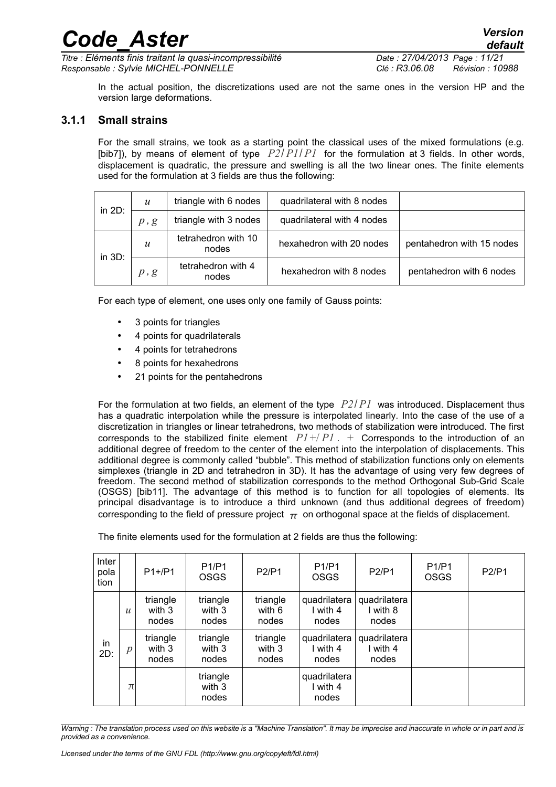*Titre : Eléments finis traitant la quasi-incompressibilité Date : 27/04/2013 Page : 11/21 Responsable : Sylvie MICHEL-PONNELLE Clé : R3.06.08 Révision : 10988*

*default*

In the actual position, the discretizations used are not the same ones in the version HP and the version large deformations.

#### **3.1.1 Small strains**

<span id="page-10-0"></span>For the small strains, we took as a starting point the classical uses of the mixed formulations (e.g. [bib7]), by means of element of type *P2*/ *P1*/ *P1* for the formulation at 3 fields. In other words, displacement is quadratic, the pressure and swelling is all the two linear ones. The finite elements used for the formulation at 3 fields are thus the following:

| in 2D:    | $\boldsymbol{u}$ | triangle with 6 nodes        | quadrilateral with 8 nodes |                           |
|-----------|------------------|------------------------------|----------------------------|---------------------------|
|           | p, g             | triangle with 3 nodes        | quadrilateral with 4 nodes |                           |
|           | $\boldsymbol{u}$ | tetrahedron with 10<br>nodes | hexahedron with 20 nodes   | pentahedron with 15 nodes |
| in $3D$ : | p, g             | tetrahedron with 4<br>nodes  | hexahedron with 8 nodes    | pentahedron with 6 nodes  |

For each type of element, one uses only one family of Gauss points:

- 3 points for triangles
- 4 points for quadrilaterals
- 4 points for tetrahedrons
- 8 points for hexahedrons
- 21 points for the pentahedrons

For the formulation at two fields, an element of the type *P2*/ *P1* was introduced. Displacement thus has a quadratic interpolation while the pressure is interpolated linearly. Into the case of the use of a discretization in triangles or linear tetrahedrons, two methods of stabilization were introduced. The first corresponds to the stabilized finite element  $P1+/P1$ . + Corresponds to the introduction of an additional degree of freedom to the center of the element into the interpolation of displacements. This additional degree is commonly called "bubble". This method of stabilization functions only on elements simplexes (triangle in 2D and tetrahedron in 3D). It has the advantage of using very few degrees of freedom. The second method of stabilization corresponds to the method Orthogonal Sub-Grid Scale (OSGS) [bib11]. The advantage of this method is to function for all topologies of elements. Its principal disadvantage is to introduce a third unknown (and thus additional degrees of freedom) corresponding to the field of pressure project  $\pi$  on orthogonal space at the fields of displacement.

| Inter<br>pola<br>tion |                  | $P1+/P1$                    | <b>P1/P1</b><br><b>OSGS</b> | <b>P2/P1</b>                | <b>P1/P1</b><br><b>OSGS</b>       | P2/P1                             | <b>P1/P1</b><br><b>OSGS</b> | P2/P1 |
|-----------------------|------------------|-----------------------------|-----------------------------|-----------------------------|-----------------------------------|-----------------------------------|-----------------------------|-------|
|                       | $\boldsymbol{u}$ | triangle<br>with 3<br>nodes | triangle<br>with 3<br>nodes | triangle<br>with 6<br>nodes | quadrilatera<br>I with 4<br>nodes | quadrilatera<br>I with 8<br>nodes |                             |       |
| in<br>2D:             | р                | triangle<br>with 3<br>nodes | triangle<br>with 3<br>nodes | triangle<br>with 3<br>nodes | quadrilatera<br>I with 4<br>nodes | quadrilatera<br>I with 4<br>nodes |                             |       |
|                       | $\pi$            |                             | triangle<br>with 3<br>nodes |                             | quadrilatera<br>I with 4<br>nodes |                                   |                             |       |

The finite elements used for the formulation at 2 fields are thus the following:

*Warning : The translation process used on this website is a "Machine Translation". It may be imprecise and inaccurate in whole or in part and is provided as a convenience.*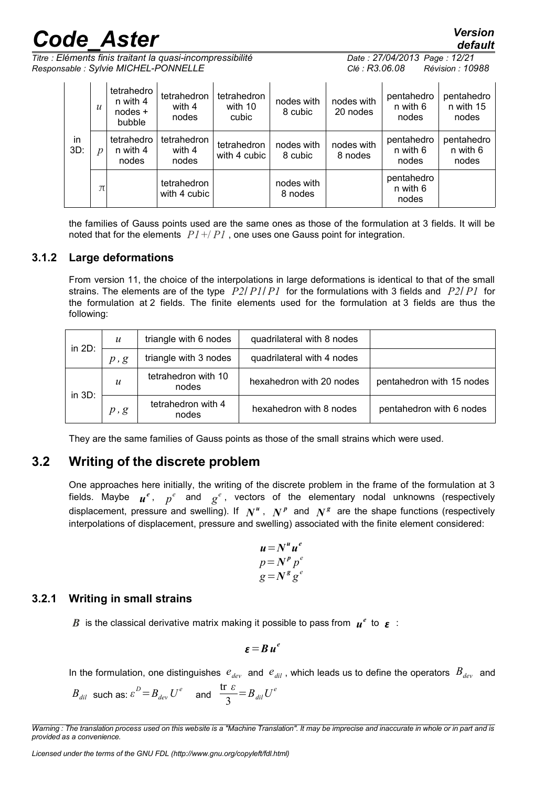*Titre : Eléments finis traitant la quasi-incompressibilité Date : 27/04/2013 Page : 12/21 Responsable : Sylvie MICHEL-PONNELLE Clé : R3.06.08 Révision : 10988*

|           | $\mathcal{U}$ | tetrahedro<br>n with 4<br>$nodes +$<br>bubble | tetrahedron<br>with 4<br>nodes | tetrahedron<br>with 10<br>cubic | nodes with<br>8 cubic | nodes with<br>20 nodes | pentahedro<br>n with 6<br>nodes | pentahedro<br>n with 15<br>nodes |
|-----------|---------------|-----------------------------------------------|--------------------------------|---------------------------------|-----------------------|------------------------|---------------------------------|----------------------------------|
| in<br>3D: |               | tetrahedro<br>n with 4<br>nodes               | tetrahedron<br>with 4<br>nodes | tetrahedron<br>with 4 cubic     | nodes with<br>8 cubic | nodes with<br>8 nodes  | pentahedro<br>n with 6<br>nodes | pentahedro<br>n with 6<br>nodes  |
|           | $\pi$         |                                               | tetrahedron<br>with 4 cubic    |                                 | nodes with<br>8 nodes |                        | pentahedro<br>n with 6<br>nodes |                                  |

the families of Gauss points used are the same ones as those of the formulation at 3 fields. It will be noted that for the elements *P1*+/ *P1* , one uses one Gauss point for integration.

#### **3.1.2 Large deformations**

<span id="page-11-2"></span>From version 11, the choice of the interpolations in large deformations is identical to that of the small strains. The elements are of the type *P2*/ *P1*/ *P1* for the formulations with 3 fields and *P2*/ *P1* for the formulation at 2 fields. The finite elements used for the formulation at 3 fields are thus the following:

| in $2D$ : | $\boldsymbol{u}$ | triangle with 6 nodes        | quadrilateral with 8 nodes |                           |
|-----------|------------------|------------------------------|----------------------------|---------------------------|
|           | p, g             | triangle with 3 nodes        | quadrilateral with 4 nodes |                           |
| in $3D$ : | $\boldsymbol{u}$ | tetrahedron with 10<br>nodes | hexahedron with 20 nodes   | pentahedron with 15 nodes |
|           | p, g             | tetrahedron with 4<br>nodes  | hexahedron with 8 nodes    | pentahedron with 6 nodes  |

<span id="page-11-1"></span>They are the same families of Gauss points as those of the small strains which were used.

### **3.2 Writing of the discrete problem**

One approaches here initially, the writing of the discrete problem in the frame of the formulation at 3 fields. Maybe  $\bm{u}^e$ ,  $p^e$  and  $g^e$ , vectors of the elementary nodal unknowns (respectively displacement, pressure and swelling). If  $N^u$ ,  $N^p$  and  $N^g$  are the shape functions (respectively interpolations of displacement, pressure and swelling) associated with the finite element considered:

$$
u = Nu ue
$$
  
\n
$$
p = Np pe
$$
  
\n
$$
g = Ng ge
$$

#### **3.2.1 Writing in small strains**

<span id="page-11-0"></span> $\bm{B}$  is the classical derivative matrix making it possible to pass from  $\bm{u}^e$  to  $\bm{\varepsilon}$  :

$$
\varepsilon=B\,u^e
$$

In the formulation, one distinguishes  $e_{dev}$  and  $e_{di}$ , which leads us to define the operators  $B_{dev}$  and

$$
B_{dil}
$$
 such as:  $\varepsilon^D = B_{dev} U^e$  and  $\frac{\text{tr } \varepsilon}{3} = B_{dil} U^e$ 

*Warning : The translation process used on this website is a "Machine Translation". It may be imprecise and inaccurate in whole or in part and is provided as a convenience.*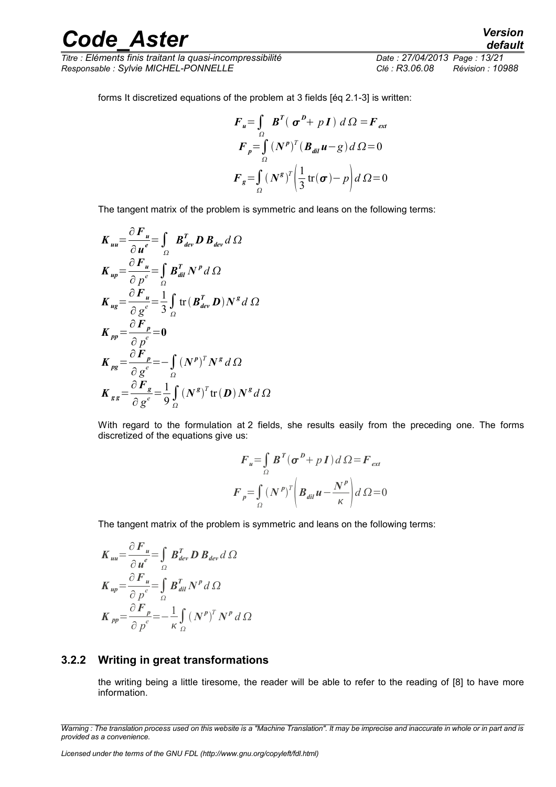*Titre : Eléments finis traitant la quasi-incompressibilité Date : 27/04/2013 Page : 13/21 Responsable : Sylvie MICHEL-PONNELLE Clé : R3.06.08 Révision : 10988*

forms It discretized equations of the problem at 3 fields [éq [2.1-3\]](#page-6-2) is written:

$$
F_u = \int_{\Omega} \boldsymbol{B}^T (\boldsymbol{\sigma}^D + p \boldsymbol{I}) d\Omega = F_{ext}
$$
  

$$
F_p = \int_{\Omega} (\boldsymbol{N}^p)^T (\boldsymbol{B}_{dil} \boldsymbol{u} - g) d\Omega = 0
$$
  

$$
F_g = \int_{\Omega} (\boldsymbol{N}^g)^T \left(\frac{1}{3} \text{tr}(\boldsymbol{\sigma}) - p\right) d\Omega = 0
$$

The tangent matrix of the problem is symmetric and leans on the following terms:

$$
K_{uu} = \frac{\partial F_u}{\partial u^e} = \int_{\Omega} B_{dev}^T D B_{dev} d \Omega
$$
  
\n
$$
K_{up} = \frac{\partial F_u}{\partial p^e} = \int_{\Omega} B_{dil}^T N^p d \Omega
$$
  
\n
$$
K_{ug} = \frac{\partial F_u}{\partial g^e} = \frac{1}{3} \int_{\Omega} tr (B_{dev}^T D) N^g d \Omega
$$
  
\n
$$
K_{pp} = \frac{\partial F_p}{\partial g^e} = 0
$$
  
\n
$$
K_{pg} = \frac{\partial F_p}{\partial g^e} = -\int_{\Omega} (N^p)^T N^g d \Omega
$$
  
\n
$$
K_{gg} = \frac{\partial F_g}{\partial g^e} = \frac{1}{9} \int_{\Omega} (N^g)^T tr (D) N^g d \Omega
$$

With regard to the formulation at 2 fields, she results easily from the preceding one. The forms discretized of the equations give us:

$$
F_u = \int_{\Omega} B^T (\sigma^D + pI) d\Omega = F_{ext}
$$
  

$$
F_p = \int_{\Omega} (N^p)^T \left( B_{dil} u - \frac{N^p}{\kappa} \right) d\Omega = 0
$$

The tangent matrix of the problem is symmetric and leans on the following terms:

$$
K_{uu} = \frac{\partial F_u}{\partial u^e} = \int_{\Omega} B_{dev}^T D B_{dev} d \Omega
$$
  
\n
$$
K_{up} = \frac{\partial F_u}{\partial p^e} = \int_{\Omega} B_{dil}^T N^p d \Omega
$$
  
\n
$$
K_{pp} = \frac{\partial F_p}{\partial p^e} = -\frac{1}{\kappa} \int_{\Omega} (N^p)^T N^p d \Omega
$$

#### **3.2.2 Writing in great transformations**

<span id="page-12-0"></span>the writing being a little tiresome, the reader will be able to refer to the reading of [8] to have more information.

*Warning : The translation process used on this website is a "Machine Translation". It may be imprecise and inaccurate in whole or in part and is provided as a convenience.*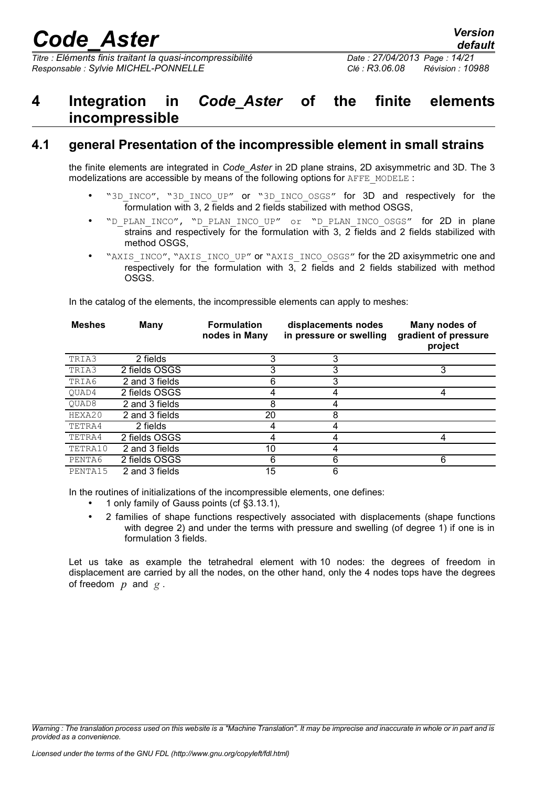*Titre : Eléments finis traitant la quasi-incompressibilité Date : 27/04/2013 Page : 14/21 Responsable : Sylvie MICHEL-PONNELLE Clé : R3.06.08 Révision : 10988*

### <span id="page-13-1"></span>**4 Integration in** *Code\_Aster* **of the finite elements incompressible**

### **4.1 general Presentation of the incompressible element in small strains**

<span id="page-13-0"></span>the finite elements are integrated in *Code\_Aster* in 2D plane strains, 2D axisymmetric and 3D. The 3 modelizations are accessible by means of the following options for AFFE\_MODELE :

- "3D\_INCO", "3D\_INCO\_UP" or "3D\_INCO\_OSGS" for 3D\_and respectively for the formulation with 3, 2 fields and 2 fields stabilized with method OSGS,
- "D\_PLAN\_INCO", "D\_PLAN\_INCO\_UP" or "D\_PLAN\_INCO\_OSGS" for 2D in plane strains and respectively for the formulation with 3, 2 fields and 2 fields stabilized with method OSGS.
- "AXIS\_INCO", "AXIS\_INCO\_UP" or "AXIS\_INCO\_OSGS" for the 2D axisymmetric one and respectively for the formulation with 3, 2 fields and 2 fields stabilized with method OSGS.

In the catalog of the elements, the incompressible elements can apply to meshes:

| <b>Meshes</b> | Many           | <b>Formulation</b><br>nodes in Many | displacements nodes<br>in pressure or swelling | Many nodes of<br>gradient of pressure<br>project |
|---------------|----------------|-------------------------------------|------------------------------------------------|--------------------------------------------------|
| TRIA3         | 2 fields       | 3                                   | З                                              |                                                  |
| TRIA3         | 2 fields OSGS  | 3                                   |                                                | 3                                                |
| TRIA6         | 2 and 3 fields | 6                                   | 3                                              |                                                  |
| OUAD4         | 2 fields OSGS  |                                     |                                                | 4                                                |
| OUAD8         | 2 and 3 fields | 8                                   |                                                |                                                  |
| HEXA20        | 2 and 3 fields | 20                                  | 8                                              |                                                  |
| TETRA4        | 2 fields       | 4                                   |                                                |                                                  |
| TETRA4        | 2 fields OSGS  |                                     |                                                | 4                                                |
| TETRA10       | 2 and 3 fields | 10                                  |                                                |                                                  |
| PENTA6        | 2 fields OSGS  | 6                                   | 6                                              | 6                                                |
| PENTA15       | 2 and 3 fields | 15                                  | 6                                              |                                                  |

In the routines of initializations of the incompressible elements, one defines:

- 1 only family of Gauss points (cf §3.[13.1\)](#page-9-0),
- 2 families of shape functions respectively associated with displacements (shape functions with degree 2) and under the terms with pressure and swelling (of degree 1) if one is in formulation 3 fields.

Let us take as example the tetrahedral element with 10 nodes: the degrees of freedom in displacement are carried by all the nodes, on the other hand, only the 4 nodes tops have the degrees of freedom *p* and *g* .

*Warning : The translation process used on this website is a "Machine Translation". It may be imprecise and inaccurate in whole or in part and is provided as a convenience.*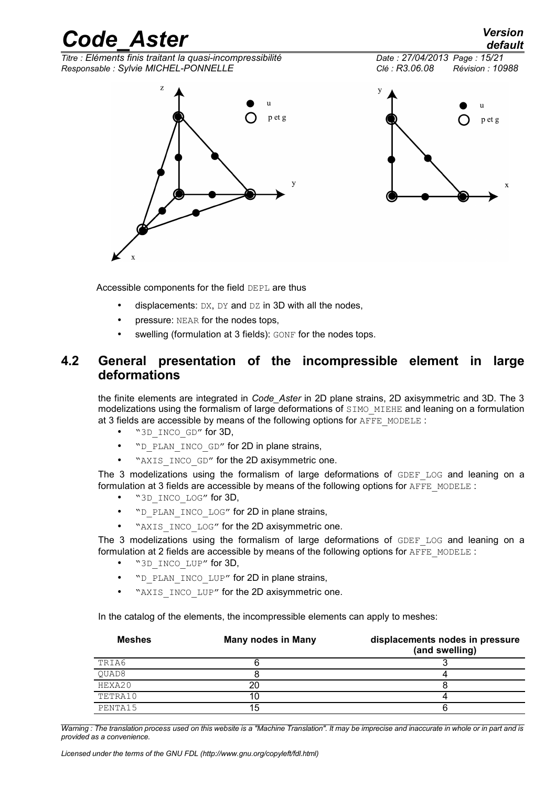



Accessible components for the field DEPL are thus

- displacements:  $DX$ ,  $DY$  and  $DZ$  in 3D with all the nodes,
- pressure: NEAR for the nodes tops,
- <span id="page-14-0"></span>swelling (formulation at 3 fields): GONF for the nodes tops.

### **4.2 General presentation of the incompressible element in large deformations**

the finite elements are integrated in *Code\_Aster* in 2D plane strains, 2D axisymmetric and 3D. The 3 modelizations using the formalism of large deformations of SIMO MIEHE and leaning on a formulation at 3 fields are accessible by means of the following options for  $A$ FFE\_MODELE :

- "3D\_INCO\_GD" for 3D,
- "D\_PLAN\_INCO\_GD" for 2D in plane strains,
- "AXIS INCO GD" for the 2D axisymmetric one.

The 3 modelizations using the formalism of large deformations of GDEF LOG and leaning on a formulation at 3 fields are accessible by means of the following options for  $A$ FFE\_MODELE :

- "3D\_INCO\_LOG" for 3D,
- "D\_PLAN\_INCO\_LOG" for 2D in plane strains,
- "AXIS INCO LOG" for the 2D axisymmetric one.

The 3 modelizations using the formalism of large deformations of  $GDEF$  LOG and leaning on a formulation at 2 fields are accessible by means of the following options for AFFE\_MODELE :

- "3D INCO LUP" for 3D,
- "D\_PLAN\_INCO\_LUP" for 2D in plane strains,
- "AXIS INCO LUP" for the 2D axisymmetric one.

In the catalog of the elements, the incompressible elements can apply to meshes:

| <b>Meshes</b> | <b>Many nodes in Many</b> | displacements nodes in pressure<br>(and swelling) |
|---------------|---------------------------|---------------------------------------------------|
| TRIA6         |                           |                                                   |
| QUAD8         |                           |                                                   |
| HEXA20        |                           |                                                   |
| TETRA10       |                           |                                                   |
| PENTA15       | 15                        |                                                   |

*Warning : The translation process used on this website is a "Machine Translation". It may be imprecise and inaccurate in whole or in part and is provided as a convenience.*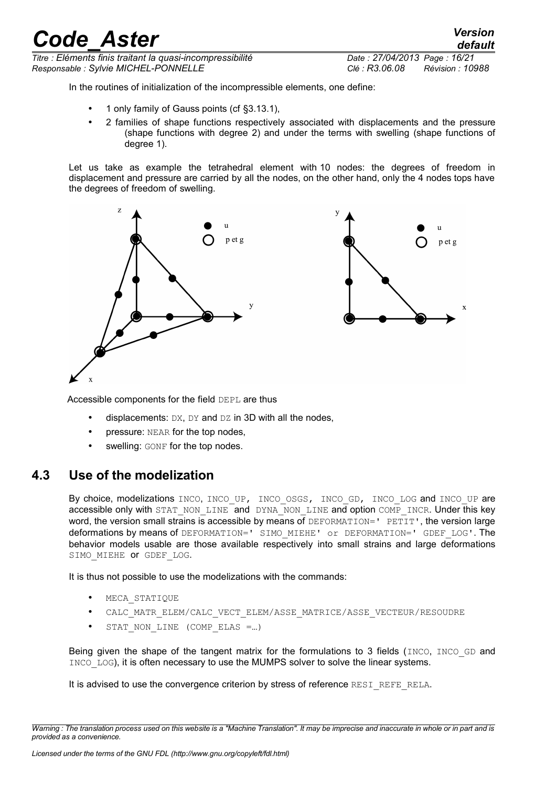*Titre : Eléments finis traitant la quasi-incompressibilité Date : 27/04/2013 Page : 16/21 Responsable : Sylvie MICHEL-PONNELLE Clé : R3.06.08 Révision : 10988*

*default*

In the routines of initialization of the incompressible elements, one define:

- 1 only family of Gauss points (cf §3.[13.1\)](#page-9-0),
- 2 families of shape functions respectively associated with displacements and the pressure (shape functions with degree 2) and under the terms with swelling (shape functions of degree 1).

Let us take as example the tetrahedral element with 10 nodes: the degrees of freedom in displacement and pressure are carried by all the nodes, on the other hand, only the 4 nodes tops have the degrees of freedom of swelling.





Accessible components for the field DEPL are thus

- displacements:  $DX$ ,  $DY$  and  $DZ$  in 3D with all the nodes,
- pressure: NEAR for the top nodes,
- swelling: GONF for the top nodes.

### **4.3 Use of the modelization**

<span id="page-15-0"></span>By choice, modelizations INCO, INCO UP, INCO OSGS, INCO GD, INCO LOG and INCO UP are accessible only with STAT\_NON\_LINE and DYNA\_NON\_LINE and option COMP\_INCR. Under this key word, the version small strains is accessible by means of DEFORMATION=' PETIT', the version large deformations by means of DEFORMATION=' SIMO MIEHE' or DEFORMATION=' GDEF LOG'. The behavior models usable are those available respectively into small strains and large deformations SIMO MIEHE OT GDEF LOG.

It is thus not possible to use the modelizations with the commands:

- MECA STATIQUE
- CALC\_MATR\_ELEM/CALC\_VECT\_ELEM/ASSE\_MATRICE/ASSE\_VECTEUR/RESOUDRE
- STAT\_NON\_LINE (COMP\_ELAS =...)

Being given the shape of the tangent matrix for the formulations to 3 fields (INCO, INCO GD and INCO LOG), it is often necessary to use the MUMPS solver to solve the linear systems.

It is advised to use the convergence criterion by stress of reference RESI\_REFE\_RELA.

*Warning : The translation process used on this website is a "Machine Translation". It may be imprecise and inaccurate in whole or in part and is provided as a convenience.*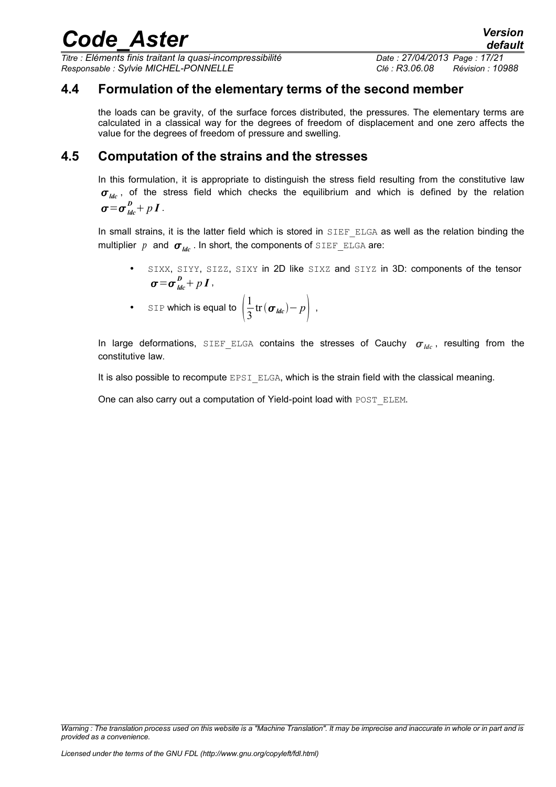*Titre : Eléments finis traitant la quasi-incompressibilité Date : 27/04/2013 Page : 17/21 Responsable : Sylvie MICHEL-PONNELLE Clé : R3.06.08 Révision : 10988*

#### **4.4 Formulation of the elementary terms of the second member**

<span id="page-16-1"></span>the loads can be gravity, of the surface forces distributed, the pressures. The elementary terms are calculated in a classical way for the degrees of freedom of displacement and one zero affects the value for the degrees of freedom of pressure and swelling.

#### **4.5 Computation of the strains and the stresses**

<span id="page-16-0"></span>In this formulation, it is appropriate to distinguish the stress field resulting from the constitutive law  $\sigma_{\mu c}$ , of the stress field which checks the equilibrium and which is defined by the relation  $\boldsymbol{\sigma} = \boldsymbol{\sigma}_{\,}^{\,D} + p \, \boldsymbol{I}$  .

In small strains, it is the latter field which is stored in SIEF ELGA as well as the relation binding the multiplier *p* and  $\sigma_{de}$ . In short, the components of SIEF ELGA are:

- SIXX, SIYY, SIZZ, SIXY in 2D like SIXZ and SIYZ in 3D: components of the tensor  $\boldsymbol{\sigma} = \boldsymbol{\sigma}_{\,ldc}^{\,D} + p\,\boldsymbol{I}$  ,
- SIP which is equal to  $\frac{1}{3}$ 1  $\frac{1}{3}$ tr $(\boldsymbol{\sigma}_{\textit{ldc}}) - p$ ,

In large deformations, SIEF ELGA contains the stresses of Cauchy  $\sigma_{\mu c}$ , resulting from the constitutive law.

It is also possible to recompute  $EPSI$   $ELGA$ , which is the strain field with the classical meaning.

One can also carry out a computation of Yield-point load with POST ELEM.

*Warning : The translation process used on this website is a "Machine Translation". It may be imprecise and inaccurate in whole or in part and is provided as a convenience.*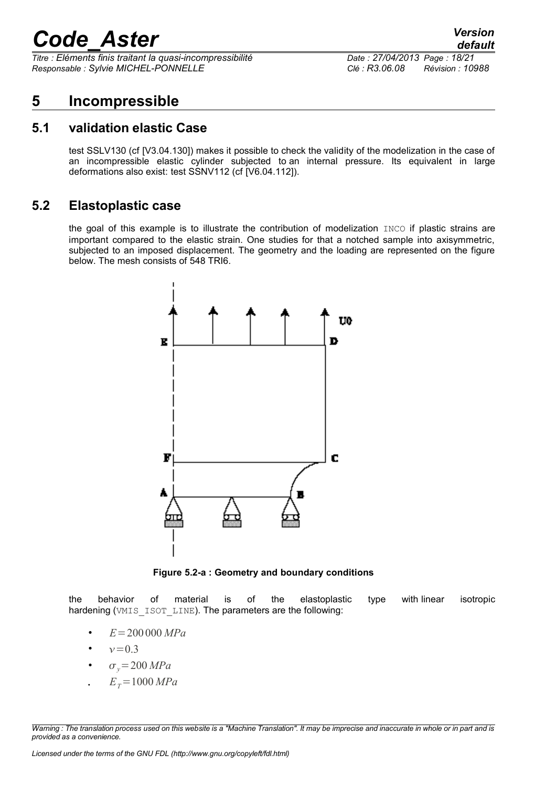*Titre : Eléments finis traitant la quasi-incompressibilité Date : 27/04/2013 Page : 18/21 Responsable : Sylvie MICHEL-PONNELLE Clé : R3.06.08 Révision : 10988*

### <span id="page-17-2"></span>**5 Incompressible**

#### **5.1 validation elastic Case**

<span id="page-17-1"></span>test SSLV130 (cf [V3.04.130]) makes it possible to check the validity of the modelization in the case of an incompressible elastic cylinder subjected to an internal pressure. Its equivalent in large deformations also exist: test SSNV112 (cf [V6.04.112]).

#### **5.2 Elastoplastic case**

<span id="page-17-0"></span>the goal of this example is to illustrate the contribution of modelization INCO if plastic strains are important compared to the elastic strain. One studies for that a notched sample into axisymmetric, subjected to an imposed displacement. The geometry and the loading are represented on the figure below. The mesh consists of 548 TRI6.



**Figure 5.2-a : Geometry and boundary conditions**

the behavior of material is of the elastoplastic type with linear isotropic hardening (VMIS ISOT LINE). The parameters are the following:

- $E = 200000 \, MPa$
- $v = 0.3$
- $\sigma_v = 200 \, MPa$
- $E_r = 1000 MPa$

*Warning : The translation process used on this website is a "Machine Translation". It may be imprecise and inaccurate in whole or in part and is provided as a convenience.*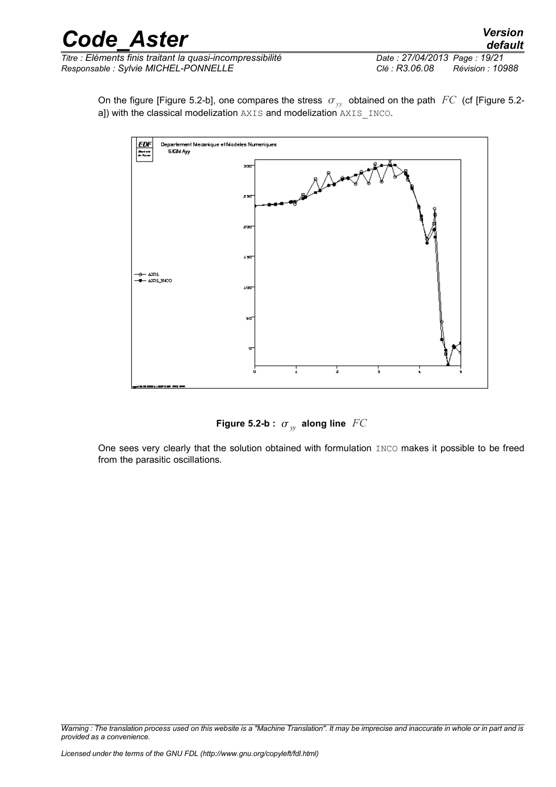| <b>Code Aster</b> | <b>Version</b> |
|-------------------|----------------|
|                   | default        |

On the figure [Figure 5.2-b], one compares the stress  $\sigma_{vv}$  obtained on the path *FC* (cf [Figure 5.2a]) with the classical modelization AXIS and modelization AXIS\_INCO.



Figure 5.2-b  $: \sigma_{\overline{\mathcal{Y}}}$  along line  $\overline{\mathit{FC}}$ 

One sees very clearly that the solution obtained with formulation INCO makes it possible to be freed from the parasitic oscillations.

*Warning : The translation process used on this website is a "Machine Translation". It may be imprecise and inaccurate in whole or in part and is provided as a convenience.*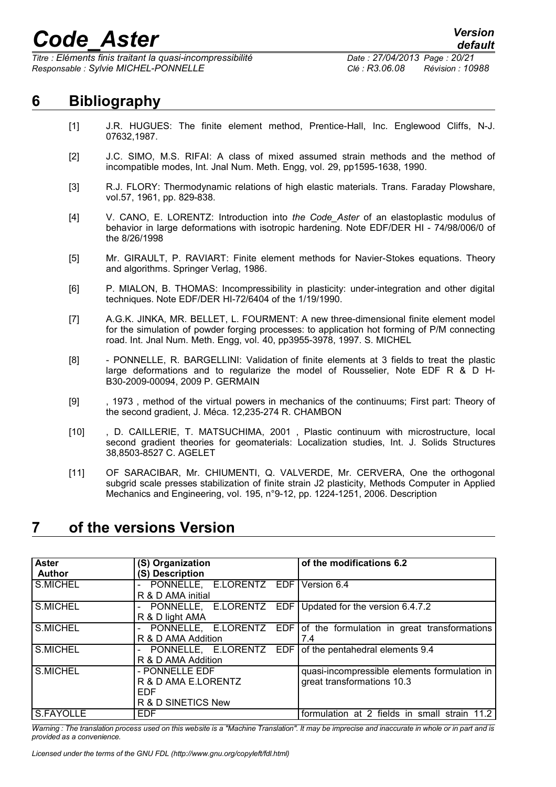*Titre : Eléments finis traitant la quasi-incompressibilité Date : 27/04/2013 Page : 20/21 Responsable : Sylvie MICHEL-PONNELLE Clé : R3.06.08 Révision : 10988*

## **6 Bibliography**

- <span id="page-19-1"></span>[1] J.R. HUGUES: The finite element method, Prentice-Hall, Inc. Englewood Cliffs, N-J. 07632,1987.
- [2] J.C. SIMO, M.S. RIFAI: A class of mixed assumed strain methods and the method of incompatible modes, Int. Jnal Num. Meth. Engg, vol. 29, pp1595-1638, 1990.
- [3] R.J. FLORY: Thermodynamic relations of high elastic materials. Trans. Faraday Plowshare, vol.57, 1961, pp. 829-838.
- [4] V. CANO, E. LORENTZ: Introduction into *the Code\_Aster* of an elastoplastic modulus of behavior in large deformations with isotropic hardening. Note EDF/DER HI - 74/98/006/0 of the 8/26/1998
- [5] Mr. GIRAULT, P. RAVIART: Finite element methods for Navier-Stokes equations. Theory and algorithms. Springer Verlag, 1986.
- [6] P. MIALON, B. THOMAS: Incompressibility in plasticity: under-integration and other digital techniques. Note EDF/DER HI-72/6404 of the 1/19/1990.
- [7] A.G.K. JINKA, MR. BELLET, L. FOURMENT: A new three-dimensional finite element model for the simulation of powder forging processes: to application hot forming of P/M connecting road. Int. Jnal Num. Meth. Engg, vol. 40, pp3955-3978, 1997. S. MICHEL
- [8] PONNELLE, R. BARGELLINI: Validation of finite elements at 3 fields to treat the plastic large deformations and to regularize the model of Rousselier, Note EDF R & D H-B30-2009-00094, 2009 P. GERMAIN
- [9] , 1973 , method of the virtual powers in mechanics of the continuums; First part: Theory of the second gradient, J. Méca. 12,235-274 R. CHAMBON
- [10] , D. CAILLERIE, T. MATSUCHIMA, 2001 , Plastic continuum with microstructure, local second gradient theories for geomaterials: Localization studies, Int. J. Solids Structures 38,8503-8527 C. AGELET
- [11] OF SARACIBAR, Mr. CHIUMENTI, Q. VALVERDE, Mr. CERVERA, One the orthogonal subgrid scale presses stabilization of finite strain J2 plasticity, Methods Computer in Applied Mechanics and Engineering, vol. 195, n°9-12, pp. 1224-1251, 2006. Description

### <span id="page-19-0"></span>**7 of the versions Version**

| <b>Aster</b><br><b>Author</b> | (S) Organization<br>(S) Description                                                          | of the modifications 6.2                                                   |
|-------------------------------|----------------------------------------------------------------------------------------------|----------------------------------------------------------------------------|
| S.MICHEL                      | PONNELLE, E.LORENTZ EDF Version 6.4<br>R & D AMA initial                                     |                                                                            |
| S.MICHEL                      | PONNELLE, E.LORENTZ EDF Updated for the version 6.4.7.2<br>$\blacksquare$<br>R & D light AMA |                                                                            |
| S.MICHEL                      | $\blacksquare$<br>R & D AMA Addition                                                         | PONNELLE, E.LORENTZ EDF of the formulation in great transformations<br>7.4 |
| S.MICHEL                      | - PONNELLE, E.LORENTZ EDF of the pentahedral elements 9.4<br>R & D AMA Addition              |                                                                            |
| S.MICHEL                      | - PONNELLE EDF<br>R & D AMA E.LORENTZ<br><b>EDF</b><br>R & D SINETICS New                    | quasi-incompressible elements formulation in<br>great transformations 10.3 |
| S.FAYOLLE                     | <b>EDF</b>                                                                                   | formulation at 2 fields in small strain 11.2                               |

*Warning : The translation process used on this website is a "Machine Translation". It may be imprecise and inaccurate in whole or in part and is provided as a convenience.*